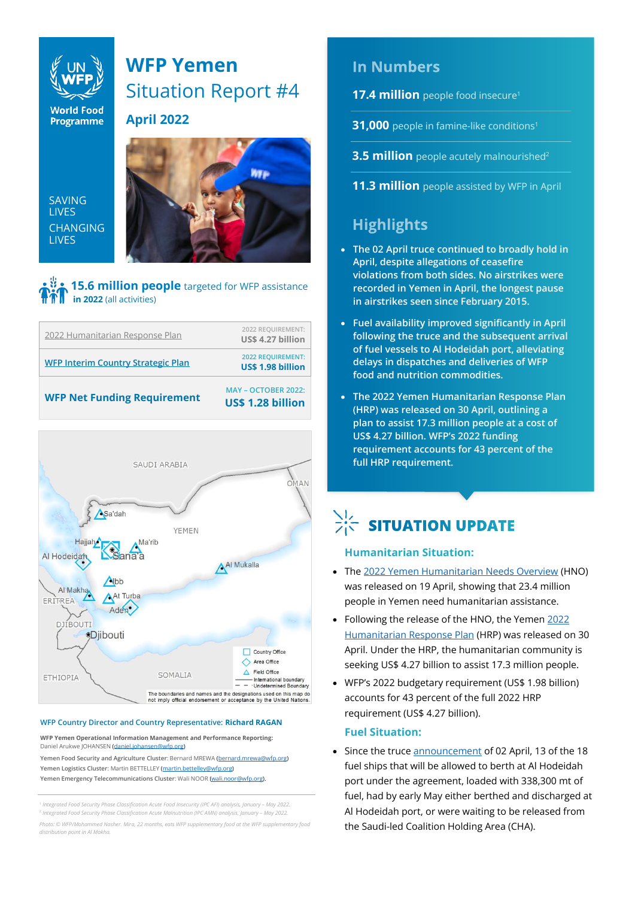

# **WFP Yemen**  Situation Report #4

**April 2022**

SAVING LIVES CHANGING LIVES



# **15.6 million people** targeted for WFP assistance **in 2022** (all activities)





#### **WFP Country Director and Country Representative: Richard RAGAN**

**WFP Yemen Operational Information Management and Performance Reporting:** Daniel Arukwe JOHANSEN [\(daniel.johansen@wfp.org\)](mailto:daniel.johansen@wfp.org)

**Yemen Food Security and Agriculture Cluster**: Bernard MREWA [\(bernard.mrewa@wfp.org\)](mailto:bernard.mrewa@wfp.org) **Yemen Logistics Cluster**: Martin BETTELLEY [\(martin.bettelley@wfp.org\)](mailto:martin.bettelley@wfp.org) **Yemen Emergency Telecommunications Cluster: Wali NOOR (wali.noorg).** 

*1 Integrated Food Security Phase Classification Acute Food Insecurity (IPC AFI) analysis, January – May 2022. 2 Integrated Food Security Phase Classification Acute Malnutrition (IPC AMN) analysis, January – May 2022.*

*Photo: © WFP/Mohammed Nasher. Mira, 22 months, eats WFP supplementary food at the WFP supplementary food distribution point in Al Makha.*

# **In Numbers**

**17.4 million** people food insecure<sup>1</sup>

**31,000** people in famine-like conditions<sup>1</sup>

**3.5 million** people acutely malnourished<sup>2</sup>

**11.3 million** people assisted by WFP in April

# **Highlights**

- **The 02 April truce continued to broadly hold in April, despite allegations of ceasefire violations from both sides. No airstrikes were recorded in Yemen in April, the longest pause in airstrikes seen since February 2015.**
- **Fuel availability improved significantly in April following the truce and the subsequent arrival of fuel vessels to Al Hodeidah port, alleviating delays in dispatches and deliveries of WFP food and nutrition commodities.**
- **The 2022 Yemen Humanitarian Response Plan (HRP) was released on 30 April, outlining a plan to assist 17.3 million people at a cost of US\$ 4.27 billion. WFP's 2022 funding requirement accounts for 43 percent of the full HRP requirement.**

# $\sum_{i=1}^{N}$  SITUATION UPDATE

# **Humanitarian Situation:**

- The [2022 Yemen Humanitarian Needs Overview](https://reliefweb.int/report/yemen/yemen-humanitarian-needs-overview-2022-april-2022) (HNO) was released on 19 April, showing that 23.4 million people in Yemen need humanitarian assistance.
- Following the release of the HNO, the Yemen [2022](https://reliefweb.int/report/yemen/yemen-humanitarian-response-plan-2022)  [Humanitarian Response Plan](https://reliefweb.int/report/yemen/yemen-humanitarian-response-plan-2022) (HRP) was released on 30 April. Under the HRP, the humanitarian community is seeking US\$ 4.27 billion to assist 17.3 million people.
- WFP's 2022 budgetary requirement (US\$ 1.98 billion) accounts for 43 percent of the full 2022 HRP requirement (US\$ 4.27 billion).

# **Fuel Situation:**

• Since the truce [announcement](https://osesgy.unmissions.org/statement-truce-yemen) of 02 April, 13 of the 18 fuel ships that will be allowed to berth at Al Hodeidah port under the agreement, loaded with 338,300 mt of fuel, had by early May either berthed and discharged at Al Hodeidah port, or were waiting to be released from the Saudi-led Coalition Holding Area (CHA).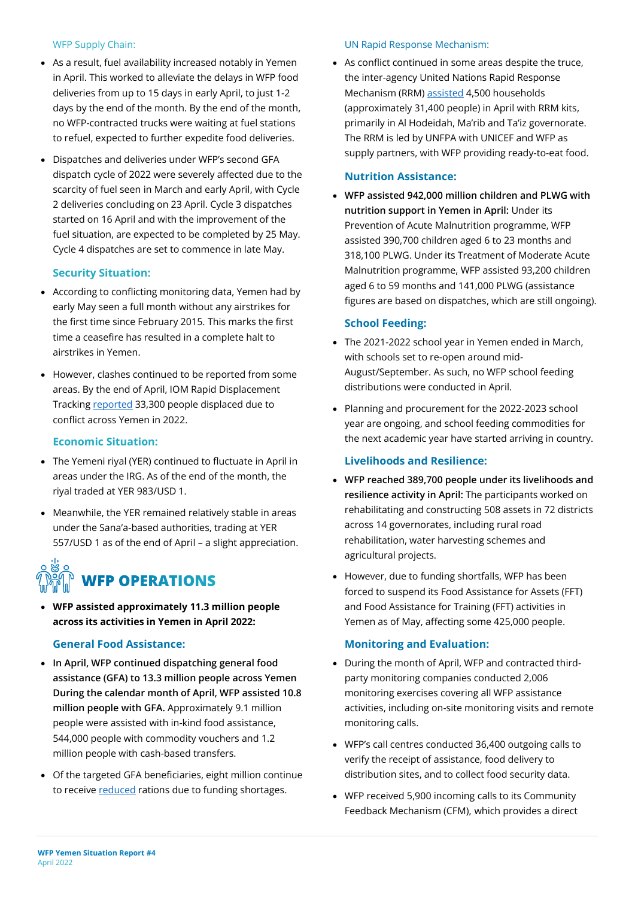### WFP Supply Chain:

- As a result, fuel availability increased notably in Yemen in April. This worked to alleviate the delays in WFP food deliveries from up to 15 days in early April, to just 1-2 days by the end of the month. By the end of the month, no WFP-contracted trucks were waiting at fuel stations to refuel, expected to further expedite food deliveries.
- Dispatches and deliveries under WFP's second GFA dispatch cycle of 2022 were severely affected due to the scarcity of fuel seen in March and early April, with Cycle 2 deliveries concluding on 23 April. Cycle 3 dispatches started on 16 April and with the improvement of the fuel situation, are expected to be completed by 25 May. Cycle 4 dispatches are set to commence in late May.

# **Security Situation:**

- According to conflicting monitoring data, Yemen had by early May seen a full month without any airstrikes for the first time since February 2015. This marks the first time a ceasefire has resulted in a complete halt to airstrikes in Yemen.
- However, clashes continued to be reported from some areas. By the end of April, IOM Rapid Displacement Tracking [reported](https://dtm.iom.int/reports/yemen-%E2%80%94-rapid-displacement-tracking-update-17-april-23-april-2022) 33,300 people displaced due to conflict across Yemen in 2022.

# **Economic Situation:**

- The Yemeni riyal (YER) continued to fluctuate in April in areas under the IRG. As of the end of the month, the riyal traded at YER 983/USD 1.
- Meanwhile, the YER remained relatively stable in areas under the Sana'a-based authorities, trading at YER 557/USD 1 as of the end of April – a slight appreciation.

# **WFP OPERATIONS**

• **WFP assisted approximately 11.3 million people across its activities in Yemen in April 2022:** 

# **General Food Assistance:**

- **In April, WFP continued dispatching general food assistance (GFA) to 13.3 million people across Yemen During the calendar month of April, WFP assisted 10.8 million people with GFA.** Approximately 9.1 million people were assisted with in-kind food assistance, 544,000 people with commodity vouchers and 1.2 million people with cash-based transfers.
- Of the targeted GFA beneficiaries, eight million continue to receive [reduced](https://www.wfp.org/news/wfp-forced-cut-food-assistance-yemen-warns-impact-hunger-rises) rations due to funding shortages.

#### UN Rapid Response Mechanism:

• As conflict continued in some areas despite the truce, the inter-agency United Nations Rapid Response Mechanism (RRM) [assisted](https://reliefweb.int/report/yemen/yemen-rapid-response-mechanism-first-line-response-rrm-monthly-report-april-2022) 4,500 households (approximately 31,400 people) in April with RRM kits, primarily in Al Hodeidah, Ma'rib and Ta'iz governorate. The RRM is led by UNFPA with UNICEF and WFP as supply partners, with WFP providing ready-to-eat food.

### **Nutrition Assistance:**

• **WFP assisted 942,000 million children and PLWG with nutrition support in Yemen in April:** Under its Prevention of Acute Malnutrition programme, WFP assisted 390,700 children aged 6 to 23 months and 318,100 PLWG. Under its Treatment of Moderate Acute Malnutrition programme, WFP assisted 93,200 children aged 6 to 59 months and 141,000 PLWG (assistance figures are based on dispatches, which are still ongoing).

### **School Feeding:**

- The 2021-2022 school year in Yemen ended in March, with schools set to re-open around mid-August/September. As such, no WFP school feeding distributions were conducted in April.
- Planning and procurement for the 2022-2023 school year are ongoing, and school feeding commodities for the next academic year have started arriving in country.

# **Livelihoods and Resilience:**

- **WFP reached 389,700 people under its livelihoods and resilience activity in April:** The participants worked on rehabilitating and constructing 508 assets in 72 districts across 14 governorates, including rural road rehabilitation, water harvesting schemes and agricultural projects.
- However, due to funding shortfalls, WFP has been forced to suspend its Food Assistance for Assets (FFT) and Food Assistance for Training (FFT) activities in Yemen as of May, affecting some 425,000 people.

# **Monitoring and Evaluation:**

- During the month of April, WFP and contracted thirdparty monitoring companies conducted 2,006 monitoring exercises covering all WFP assistance activities, including on-site monitoring visits and remote monitoring calls.
- WFP's call centres conducted 36,400 outgoing calls to verify the receipt of assistance, food delivery to distribution sites, and to collect food security data.
- WFP received 5,900 incoming calls to its Community Feedback Mechanism (CFM), which provides a direct